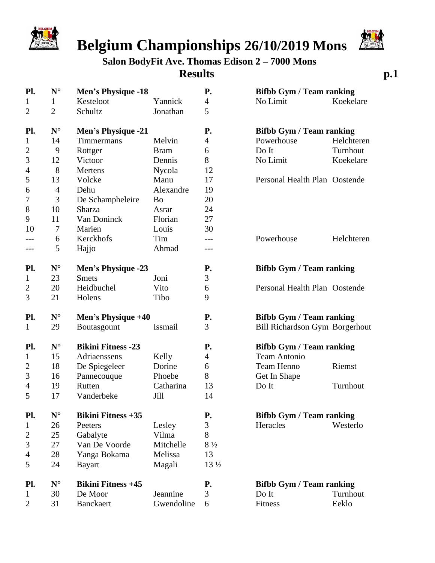

# **Belgium Championships 26/10/2019 Mons**



## **Salon BodyFit Ave. Thomas Edison 2 – 7000 Mons**

**Results p.1**

| Pl.            | $\mathbf{N}^{\circ}$ | <b>Men's Physique -18</b> |             | <b>P.</b>       | <b>Bifbb Gym / Team ranking</b> |            |
|----------------|----------------------|---------------------------|-------------|-----------------|---------------------------------|------------|
| $\mathbf{1}$   | $\mathbf{1}$         | Kesteloot                 | Yannick     | $\overline{4}$  | No Limit                        | Koekelare  |
| $\overline{2}$ | $\overline{2}$       | Schultz                   | Jonathan    | 5               |                                 |            |
| Pl.            | $\mathbf{N}^{\circ}$ | <b>Men's Physique -21</b> |             | <b>P.</b>       | <b>Bifbb Gym / Team ranking</b> |            |
| $\mathbf{1}$   | 14                   | Timmermans                | Melvin      | $\overline{4}$  | Powerhouse                      | Helchteren |
| $\overline{c}$ | 9                    | Rottger                   | <b>Bram</b> | 6               | Do It                           | Turnhout   |
| 3              | 12                   | Victoor                   | Dennis      | 8               | No Limit                        | Koekelare  |
| 4              | 8                    | Mertens                   | Nycola      | 12              |                                 |            |
| 5              | 13                   | Volcke                    | Manu        | 17              | Personal Health Plan Oostende   |            |
| 6              | $\overline{4}$       | Dehu                      | Alexandre   | 19              |                                 |            |
| 7              | 3                    | De Schampheleire          | <b>Bo</b>   | 20              |                                 |            |
| 8              | 10                   | Sharza                    | Asrar       | 24              |                                 |            |
| 9              | 11                   | Van Doninck               | Florian     | 27              |                                 |            |
| 10             | 7                    | Marien                    | Louis       | 30              |                                 |            |
|                | 6                    | Kerckhofs                 | Tim         |                 | Powerhouse                      | Helchteren |
|                | 5                    | Hajjo                     | Ahmad       |                 |                                 |            |
| Pl.            | $\mathbf{N}^\circ$   | <b>Men's Physique -23</b> |             | <b>P.</b>       | <b>Bifbb Gym / Team ranking</b> |            |
| $\mathbf{1}$   | 23                   | <b>Smets</b>              | Joni        | 3               |                                 |            |
| $\mathbf{2}$   | 20                   | Heidbuchel                | Vito        | 6               | Personal Health Plan Oostende   |            |
| 3              | 21                   | Holens                    | Tibo        | 9               |                                 |            |
| Pl.            | $\mathbf{N}^\circ$   | Men's Physique $+40$      |             | <b>P.</b>       | <b>Bifbb Gym / Team ranking</b> |            |
| $\mathbf{1}$   | 29                   | Boutasgount               | Issmail     | 3               | Bill Richardson Gym Borgerhout  |            |
| Pl.            | $\mathbf{N}^{\circ}$ | <b>Bikini Fitness -23</b> |             | <b>P.</b>       | <b>Bifbb Gym / Team ranking</b> |            |
| $\mathbf{1}$   | 15                   | Adriaenssens              | Kelly       | 4               | <b>Team Antonio</b>             |            |
| $\mathbf{2}$   | 18                   | De Spiegeleer             | Dorine      | 6               | Team Henno                      | Riemst     |
| 3              | 16                   | Pannecouque               | Phoebe      | 8               | Get In Shape                    |            |
| 4              | 19                   | Rutten                    | Catharina   | 13              | Do It                           | Turnhout   |
| 5              | 17                   | Vanderbeke                | Jill        | 14              |                                 |            |
| Pl.            | $N^{\circ}$          | <b>Bikini Fitness +35</b> |             | Р.              | <b>Bifbb Gym / Team ranking</b> |            |
| $\mathbf{1}$   | 26                   | Peeters                   | Lesley      | 3               | Heracles                        | Westerlo   |
| $\overline{c}$ | 25                   | Gabalyte                  | Vilma       | 8               |                                 |            |
| 3              | 27                   | Van De Voorde             | Mitchelle   | $8\frac{1}{2}$  |                                 |            |
| 4              | 28                   | Yanga Bokama              | Melissa     | 13              |                                 |            |
| 5              | 24                   | <b>Bayart</b>             | Magali      | $13\frac{1}{2}$ |                                 |            |
| Pl.            | $\mathbf{N}^{\circ}$ | <b>Bikini Fitness +45</b> |             | <b>P.</b>       | <b>Bifbb Gym / Team ranking</b> |            |
| 1              | 30                   | De Moor                   | Jeannine    | 3               | Do It                           | Turnhout   |
| $\overline{2}$ | 31                   | <b>Banckaert</b>          | Gwendoline  | 6               | Fitness                         | Eeklo      |
|                |                      |                           |             |                 |                                 |            |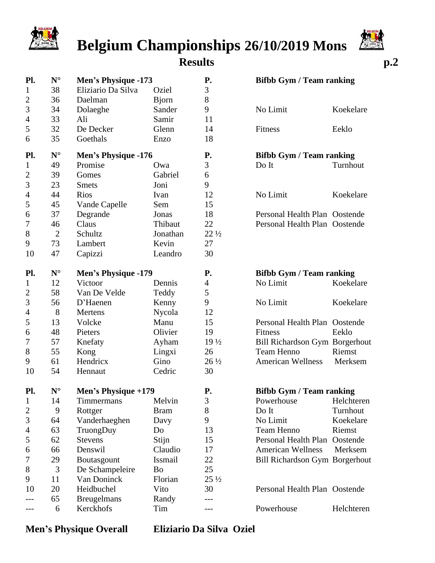

# **Belgium Championships 26/10/2019 Mons**

**Results p.2**

| Pl.                      | $N^{\circ}$       | Men's Physique -173        |               | <b>P.</b>       | <b>Bifbb Gym / Team ranking</b>       |            |
|--------------------------|-------------------|----------------------------|---------------|-----------------|---------------------------------------|------------|
| $\mathbf{1}$             | 38                | Eliziario Da Silva         | Oziel         | 3               |                                       |            |
| $\mathbf{2}$             | 36                | Daelman                    | <b>B</b> jorn | 8               |                                       |            |
| 3                        | 34                | Dolaeghe                   | Sander        | 9               | No Limit                              | Koekelare  |
| $\overline{4}$           | 33                | Ali                        | Samir         | 11              |                                       |            |
| $\mathfrak s$            | 32                | De Decker                  | Glenn         | 14              | Fitness                               | Eeklo      |
| 6                        | 35                | Goethals                   | Enzo          | 18              |                                       |            |
| Pl.                      | $N^{\circ}$       | Men's Physique -176        |               | P.              | <b>Bifbb Gym / Team ranking</b>       |            |
| $\mathbf{1}$             | 49                | Promise                    | Owa           | 3               | Do It                                 | Turnhout   |
| $\overline{c}$           | 39                | Gomes                      | Gabriel       | 6               |                                       |            |
| 3                        | 23                | <b>Smets</b>               | Joni          | 9               |                                       |            |
| $\overline{4}$           | 44                | Rios                       | Ivan          | 12              | No Limit                              | Koekelare  |
| 5                        | 45                | Vande Capelle              | Sem           | 15              |                                       |            |
| 6                        | 37                | Degrande                   | Jonas         | 18              | Personal Health Plan Oostende         |            |
| $\boldsymbol{7}$         | 46                | Claus                      | Thibaut       | 22              | Personal Health Plan Oostende         |            |
| $8\,$                    | $\overline{2}$    | Schultz                    | Jonathan      | $22\frac{1}{2}$ |                                       |            |
| 9                        | 73                | Lambert                    | Kevin         | 27              |                                       |            |
| 10                       | 47                | Capizzi                    | Leandro       | 30              |                                       |            |
| Pl.                      | ${\bf N}^{\circ}$ | <b>Men's Physique -179</b> |               | P.              | <b>Bifbb Gym / Team ranking</b>       |            |
| $\mathbf{1}$             | 12                | Victoor                    | Dennis        | $\overline{4}$  | No Limit                              | Koekelare  |
| $\mathbf{2}$             | 58                | Van De Velde               | Teddy         | 5               |                                       |            |
| 3                        | 56                | D'Haenen                   | Kenny         | 9               | No Limit                              | Koekelare  |
| $\overline{\mathcal{A}}$ | 8                 | Mertens                    | Nycola        | 12              |                                       |            |
| 5                        | 13                | Volcke                     | Manu          | 15              | Personal Health Plan Oostende         |            |
| 6                        | 48                | Pieters                    | Olivier       | 19              | Fitness                               | Eeklo      |
| 7                        | 57                | Knefaty                    | Ayham         | $19\frac{1}{2}$ | Bill Richardson Gym Borgerhout        |            |
| $8\,$                    | 55                | Kong                       | Lingxi        | 26              | Team Henno                            | Riemst     |
| 9                        | 61                | Hendricx                   | Gino          | $26\frac{1}{2}$ | <b>American Wellness</b>              | Merksem    |
| 10                       | 54                | Hennaut                    | Cedric        | 30              |                                       |            |
| Pl.                      | $N^{\circ}$       | Men's Physique +179        |               | P.              | <b>Bifbb Gym / Team ranking</b>       |            |
| $\mathbf{1}$             | 14                | Timmermans                 | Melvin        | $\mathfrak{Z}$  | Powerhouse                            | Helchteren |
| $\mathbf{2}$             | 9                 | Rottger                    | <b>Bram</b>   | 8               | Do It                                 | Turnhout   |
| $\mathfrak{Z}$           | 64                | Vanderhaeghen              | Davy          | 9               | No Limit                              | Koekelare  |
| $\overline{\mathcal{A}}$ | 63                | TruongDuy                  | Do            | 13              | Team Henno                            | Riemst     |
| 5                        | 62                | <b>Stevens</b>             | Stijn         | 15              | Personal Health Plan Oostende         |            |
| 6                        | 66                | Denswil                    | Claudio       | 17              | <b>American Wellness</b>              | Merksem    |
| $\overline{7}$           | 29                | Boutasgount                | Issmail       | 22              | <b>Bill Richardson Gym Borgerhout</b> |            |
| 8                        | $\mathfrak{Z}$    | De Schampeleire            | <b>Bo</b>     | 25              |                                       |            |
| 9                        | 11                | Van Doninck                | Florian       | $25\frac{1}{2}$ |                                       |            |
| 10                       | 20                | Heidbuchel                 | Vito          | 30              | Personal Health Plan Oostende         |            |
| ---                      | 65                | <b>Breugelmans</b>         | Randy         |                 |                                       |            |
| $---$                    | 6                 | Kerckhofs                  | Tim           | ---             | Powerhouse                            | Helchteren |

| No Limit                                                                                                                                                                                | Koekelare                                     |
|-----------------------------------------------------------------------------------------------------------------------------------------------------------------------------------------|-----------------------------------------------|
| Fitness                                                                                                                                                                                 | Eeklo                                         |
| <b>Bifbb Gym / Team ranking</b><br>Do It                                                                                                                                                | Turnhout                                      |
| No Limit                                                                                                                                                                                | Koekelare                                     |
| Personal Health Plan Oostende<br>Personal Health Plan Oostende                                                                                                                          |                                               |
|                                                                                                                                                                                         |                                               |
| <b>Bifbb Gym / Team ranking</b><br>No Limit                                                                                                                                             | Koekelare                                     |
| No Limit                                                                                                                                                                                | Koekelare                                     |
| Personal Health Plan Oostende<br>Fitness<br><b>Bill Richardson Gym Borgerhout</b><br><b>Team Henno</b><br>American Wellness Merksem                                                     | Eeklo<br>Riemst                               |
| <b>Bifbb Gym / Team ranking</b><br>Powerhouse<br>Do It<br>No Limit<br>Team Henno<br>Personal Health Plan Oostende<br>American Wellness Merksem<br><b>Bill Richardson Gym Borgerhout</b> | Helchteren<br>Turnhout<br>Koekelare<br>Riemst |

**Men's Physique Overall Eliziario Da Silva Oziel**

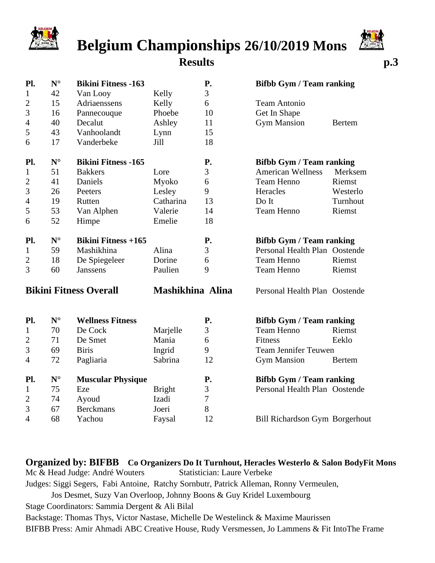

# **Belgium Championships 26/10/2019 Mons**



**Results p.3**

| Pl.            | ${\bf N}^{\circ}$  | <b>Bikini Fitness -163</b>    |                  | P.               | <b>Bifbb Gym / Team ranking</b>       |               |
|----------------|--------------------|-------------------------------|------------------|------------------|---------------------------------------|---------------|
| $\mathbf{1}$   | 42                 | Van Looy                      | Kelly            | 3                |                                       |               |
| $\overline{2}$ | 15                 | Adriaenssens                  | Kelly            | 6                | <b>Team Antonio</b>                   |               |
| 3              | 16                 | Pannecouque                   | Phoebe           | 10               | Get In Shape                          |               |
| $\overline{4}$ | 40                 | Decalut                       | Ashley           | 11               | <b>Gym Mansion</b>                    | <b>Bertem</b> |
| 5              | 43                 | Vanhoolandt                   | Lynn             | 15               |                                       |               |
| 6              | 17                 | Vanderbeke                    | Jill             | 18               |                                       |               |
| Pl.            | $\mathbf{N}^\circ$ | <b>Bikini Fitness -165</b>    |                  | <b>P.</b>        | <b>Bifbb Gym / Team ranking</b>       |               |
| $\mathbf{1}$   | 51                 | <b>Bakkers</b>                | Lore             | 3                | <b>American Wellness</b>              | Merksem       |
| $\overline{2}$ | 41                 | Daniels                       | Myoko            | 6                | Team Henno                            | Riemst        |
| 3              | 26                 | Peeters                       | Lesley           | 9                | Heracles                              | Westerlo      |
| $\overline{4}$ | 19                 | Rutten                        | Catharina        | 13               | Do It                                 | Turnhout      |
| 5              | 53                 | Van Alphen                    | Valerie          | 14               | Team Henno                            | Riemst        |
| 6              | 52                 | Himpe                         | Emelie           | 18               |                                       |               |
| Pl.            | ${\bf N}^{\circ}$  | <b>Bikini Fitness +165</b>    |                  | P.               | <b>Bifbb Gym / Team ranking</b>       |               |
| $\mathbf{1}$   | 59                 | Mashikhina                    | Alina            | 3                | Personal Health Plan Oostende         |               |
| $\overline{2}$ | 18                 | De Spiegeleer                 | Dorine           | 6                | Team Henno                            | Riemst        |
| 3              | 60                 | <b>Janssens</b>               | Paulien          | 9                | Team Henno                            | Riemst        |
|                |                    | <b>Bikini Fitness Overall</b> | Mashikhina Alina |                  | Personal Health Plan Oostende         |               |
| Pl.            | $\mathbf{N}^\circ$ | <b>Wellness Fitness</b>       |                  | P.               | <b>Bifbb Gym / Team ranking</b>       |               |
| $\mathbf 1$    | 70                 | De Cock                       | Marjelle         | 3                | Team Henno                            | Riemst        |
| $\overline{2}$ | 71                 | De Smet                       | Mania            | 6                | Fitness                               | Eeklo         |
| 3              | 69                 | <b>Biris</b>                  | Ingrid           | 9                | <b>Team Jennifer Teuwen</b>           |               |
| $\overline{4}$ | 72                 | Pagliaria                     | Sabrina          | 12               | <b>Gym Mansion</b>                    | <b>Bertem</b> |
| Pl.            | $\mathbf{N}^\circ$ | <b>Muscular Physique</b>      |                  | P.               | <b>Bifbb Gym / Team ranking</b>       |               |
| $\mathbf{1}$   | 75                 | Eze                           | <b>Bright</b>    | 3                | Personal Health Plan Oostende         |               |
| $\overline{c}$ | 74                 | Ayoud                         | Izadi            | $\boldsymbol{7}$ |                                       |               |
| 3              | 67                 | <b>Berckmans</b>              | Joeri            | $8\,$            |                                       |               |
| $\overline{4}$ | 68                 | Yachou                        | Faysal           | 12               | <b>Bill Richardson Gym Borgerhout</b> |               |

**Organized by: BIFBB Co Organizers Do It Turnhout, Heracles Westerlo & Salon BodyFit Mons** Mc & Head Judge: André Wouters Statistician: Laure Verbeke Judges: Siggi Segers, Fabi Antoine, Ratchy Sornbutr, Patrick Alleman, Ronny Vermeulen, Jos Desmet, Suzy Van Overloop, Johnny Boons & Guy Kridel Luxembourg Stage Coordinators: Sammia Dergent & Ali Bilal Backstage: Thomas Thys, Victor Nastase, Michelle De Westelinck & Maxime Maurissen BIFBB Press: Amir Ahmadi ABC Creative House, Rudy Versmessen, Jo Lammens & Fit IntoThe Frame

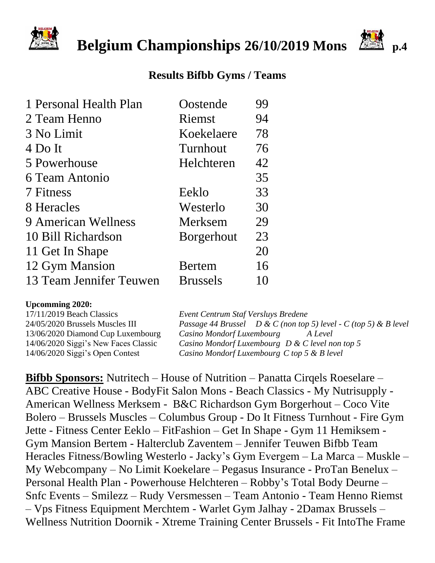



## **Results Bifbb Gyms / Teams**

| 1 Personal Health Plan  | Oostende          | 99 |
|-------------------------|-------------------|----|
| 2 Team Henno            | Riemst            | 94 |
| 3 No Limit              | Koekelaere        | 78 |
| 4 Do It                 | Turnhout          | 76 |
| 5 Powerhouse            | Helchteren        | 42 |
| 6 Team Antonio          |                   | 35 |
| 7 Fitness               | Eeklo             | 33 |
| 8 Heracles              | Westerlo          | 30 |
| 9 American Wellness     | Merksem           | 29 |
| 10 Bill Richardson      | <b>Borgerhout</b> | 23 |
| 11 Get In Shape         |                   | 20 |
| 12 Gym Mansion          | <b>Bertem</b>     | 16 |
| 13 Team Jennifer Teuwen | <b>Brussels</b>   | 10 |

### **Upcomming 2020:**

17/11/2019 Beach Classics *Event Centrum Staf Versluys Bredene*

24/05/2020 Brussels Muscles III *Passage 44 Brussel D & C (non top 5) level - C (top 5) & B level* 13/06/2020 Diamond Cup Luxembourg *Casino Mondorf Luxembourg A Level* 14/06/2020 Siggi's New Faces Classic *Casino Mondorf Luxembourg D & C level non top 5* 14/06/2020 Siggi's Open Contest *Casino Mondorf Luxembourg C top 5 & B level*

**Bifbb Sponsors:** Nutritech – House of Nutrition – Panatta Cirqels Roeselare – ABC Creative House - BodyFit Salon Mons - Beach Classics - My Nutrisupply - American Wellness Merksem - B&C Richardson Gym Borgerhout – Coco Vite Bolero – Brussels Muscles – Columbus Group - Do It Fitness Turnhout - Fire Gym Jette - Fitness Center Eeklo – FitFashion – Get In Shape - Gym 11 Hemiksem - Gym Mansion Bertem - Halterclub Zaventem – Jennifer Teuwen Bifbb Team Heracles Fitness/Bowling Westerlo - Jacky's Gym Evergem – La Marca – Muskle – My Webcompany – No Limit Koekelare – Pegasus Insurance - ProTan Benelux – Personal Health Plan - Powerhouse Helchteren – Robby's Total Body Deurne – Snfc Events – Smilezz – Rudy Versmessen – Team Antonio - Team Henno Riemst – Vps Fitness Equipment Merchtem - Warlet Gym Jalhay - 2Damax Brussels – Wellness Nutrition Doornik - Xtreme Training Center Brussels - Fit IntoThe Frame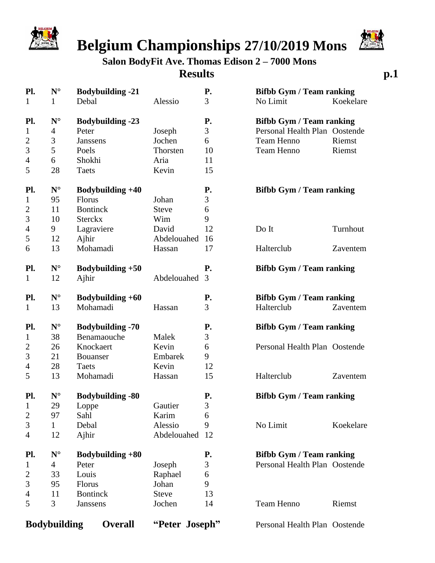

# **Belgium Championships 27/10/2019 Mons**



## **Salon BodyFit Ave. Thomas Edison 2 – 7000 Mons**

**Results p.1**

| Pl.<br>1                 | $\mathbf{N}^{\circ}$<br>$\mathbf{1}$ | <b>Bodybuilding -21</b><br>Debal | Alessio        | <b>P.</b><br>3 | <b>Bifbb Gym / Team ranking</b><br>No Limit | Koekelare |
|--------------------------|--------------------------------------|----------------------------------|----------------|----------------|---------------------------------------------|-----------|
| Pl.                      | $N^{\circ}$                          | <b>Bodybuilding -23</b>          |                | <b>P.</b>      | <b>Bifbb Gym / Team ranking</b>             |           |
| $\mathbf{1}$             | $\overline{4}$                       | Peter                            | Joseph         | 3              | Personal Health Plan Oostende               |           |
| $\overline{\mathbf{c}}$  | $\mathfrak{Z}$                       | <b>Janssens</b>                  | Jochen         | 6              | Team Henno                                  | Riemst    |
| 3                        | 5                                    | Poels                            | Thorsten       | 10             | Team Henno                                  | Riemst    |
| 4                        | 6                                    | Shokhi                           | Aria           | 11             |                                             |           |
| 5                        | 28                                   | <b>Taets</b>                     | Kevin          | 15             |                                             |           |
| Pl.                      | $N^{\circ}$                          | Bodybuilding $+40$               |                | <b>P.</b>      | <b>Bifbb Gym / Team ranking</b>             |           |
| 1                        | 95                                   | Florus                           | Johan          | 3              |                                             |           |
| $\overline{c}$           | 11                                   | <b>Bontinck</b>                  | <b>Steve</b>   | 6              |                                             |           |
| 3                        | 10                                   | <b>Sterckx</b>                   | Wim            | 9              |                                             |           |
| $\overline{\mathcal{A}}$ | 9                                    | Lagraviere                       | David          | 12             | Do It                                       | Turnhout  |
| 5                        | 12                                   | Ajhir                            | Abdelouahed    | 16             |                                             |           |
| 6                        | 13                                   | Mohamadi                         | Hassan         | 17             | Halterclub                                  | Zaventem  |
| Pl.                      | $N^{\circ}$                          | Bodybuilding $+50$               |                | <b>P.</b>      | <b>Bifbb Gym / Team ranking</b>             |           |
| $\mathbf{1}$             | 12                                   | Ajhir                            | Abdelouahed    | 3              |                                             |           |
| Pl.                      | $N^{\circ}$                          | Bodybuilding +60                 |                | <b>P.</b>      | <b>Bifbb Gym / Team ranking</b>             |           |
| $\mathbf{1}$             | 13                                   | Mohamadi                         | Hassan         | 3              | Halterclub                                  | Zaventem  |
| Pl.                      | $\mathbf{N}^{\circ}$                 | <b>Bodybuilding -70</b>          |                | <b>P.</b>      | <b>Bifbb Gym / Team ranking</b>             |           |
| $\mathbf{1}$             | 38                                   | Benamaouche                      | Malek          | 3              |                                             |           |
| $\overline{c}$           | 26                                   | Knockaert                        | Kevin          | 6              | Personal Health Plan Oostende               |           |
| 3                        | 21                                   | Bouanser                         | Embarek        | 9              |                                             |           |
| 4                        | 28                                   | Taets                            | Kevin          | 12             |                                             |           |
| 5                        | 13                                   | Mohamadi                         | Hassan         | 15             | Halterclub                                  | Zaventem  |
| Pl.                      | $\mathbf{N}^{\circ}$                 | <b>Bodybuilding -80</b>          |                | <b>P.</b>      | <b>Bifbb Gym / Team ranking</b>             |           |
| $\mathbf{1}$             | 29                                   | Loppe                            | Gautier        | 3              |                                             |           |
| $\overline{\mathbf{c}}$  | 97                                   | Sahl                             | Karim          | 6              |                                             |           |
| 3                        | $\mathbf{1}$                         | Debal                            | Alessio        | 9              | No Limit                                    | Koekelare |
| 4                        | 12                                   | Ajhir                            | Abdelouahed    | 12             |                                             |           |
| Pl.                      | $\mathbf{N}^{\circ}$                 | Bodybuilding $+80$               |                | <b>P.</b>      | <b>Bifbb Gym / Team ranking</b>             |           |
| $\mathbf{1}$             | $\overline{4}$                       | Peter                            | Joseph         | 3              | Personal Health Plan Oostende               |           |
| $\overline{c}$           | 33                                   | Louis                            | Raphael        | 6              |                                             |           |
| 3                        | 95                                   | Florus                           | Johan          | 9              |                                             |           |
| $\overline{\mathcal{A}}$ | 11                                   | <b>Bontinck</b>                  | <b>Steve</b>   | 13             |                                             |           |
| 5                        | 3                                    | <b>Janssens</b>                  | Jochen         | 14             | Team Henno                                  | Riemst    |
|                          | Bodybuilding                         | <b>Overall</b>                   | "Peter Joseph" |                | Personal Health Plan Oostende               |           |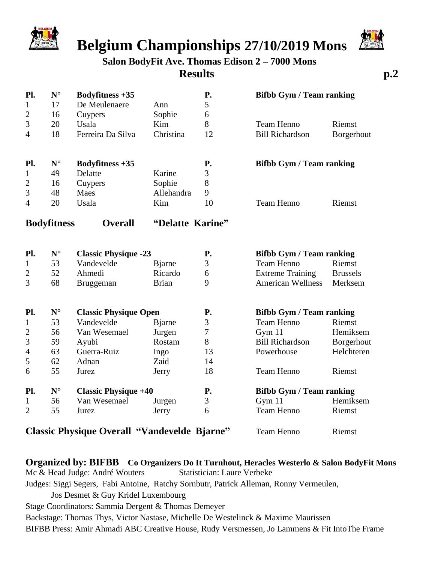

## **Belgium Championships 27/10/2019 Mons**



## **Salon BodyFit Ave. Thomas Edison 2 – 7000 Mons**

**Results p.2**

| $N^{\circ}$        | Bodyfitness $+35$ |                                                    | P.                                                                                                   |                                             |                                                                                                                                                                     |
|--------------------|-------------------|----------------------------------------------------|------------------------------------------------------------------------------------------------------|---------------------------------------------|---------------------------------------------------------------------------------------------------------------------------------------------------------------------|
| 17                 | De Meulenaere     | Ann                                                | 5                                                                                                    |                                             |                                                                                                                                                                     |
| 16                 | Cuypers           | Sophie                                             | 6                                                                                                    |                                             |                                                                                                                                                                     |
| 20                 | Usala             | Kim                                                | 8                                                                                                    | Team Henno                                  | Riemst                                                                                                                                                              |
| 18                 | Ferreira Da Silva | Christina                                          | 12                                                                                                   | <b>Bill Richardson</b>                      | Borgerhout                                                                                                                                                          |
|                    |                   |                                                    |                                                                                                      |                                             |                                                                                                                                                                     |
| 49                 | Delatte           | Karine                                             | 3                                                                                                    |                                             |                                                                                                                                                                     |
| 16                 |                   |                                                    | 8                                                                                                    |                                             |                                                                                                                                                                     |
| 48                 | Maes              |                                                    | 9                                                                                                    |                                             |                                                                                                                                                                     |
| 20                 | Usala             | Kim                                                | 10                                                                                                   | Team Henno                                  | Riemst                                                                                                                                                              |
|                    | <b>Overall</b>    |                                                    |                                                                                                      |                                             |                                                                                                                                                                     |
| $N^{\circ}$        |                   |                                                    | <b>P.</b>                                                                                            |                                             |                                                                                                                                                                     |
| 53                 | Vandevelde        | <b>B</b> jarne                                     | 3                                                                                                    | Team Henno                                  | Riemst                                                                                                                                                              |
| 52                 | Ahmedi            | Ricardo                                            | 6                                                                                                    |                                             | <b>Brussels</b>                                                                                                                                                     |
| 68                 | <b>Bruggeman</b>  | <b>Brian</b>                                       | 9                                                                                                    | <b>American Wellness</b>                    | Merksem                                                                                                                                                             |
| $\mathbf{N}^\circ$ |                   |                                                    | P.                                                                                                   | <b>Bifbb Gym / Team ranking</b>             |                                                                                                                                                                     |
| 53                 | Vandevelde        | <b>B</b> jarne                                     | $\mathfrak{Z}$                                                                                       | <b>Team Henno</b>                           | Riemst                                                                                                                                                              |
| 56                 | Van Wesemael      | Jurgen                                             | $\tau$                                                                                               | Gym 11                                      | Hemiksem                                                                                                                                                            |
| 59                 | Ayubi             | Rostam                                             | 8                                                                                                    | <b>Bill Richardson</b>                      | Borgerhout                                                                                                                                                          |
| 63                 | Guerra-Ruiz       | Ingo                                               | 13                                                                                                   | Powerhouse                                  | Helchteren                                                                                                                                                          |
| 62                 | Adnan             | Zaid                                               | 14                                                                                                   |                                             |                                                                                                                                                                     |
| 55                 | Jurez             | Jerry                                              | 18                                                                                                   | Team Henno                                  | Riemst                                                                                                                                                              |
| ${\bf N}^{\circ}$  |                   |                                                    | P.                                                                                                   |                                             |                                                                                                                                                                     |
| 56                 | Van Wesemael      | Jurgen                                             | 3                                                                                                    | Gym 11                                      | Hemiksem                                                                                                                                                            |
| 55                 | Jurez             | Jerry                                              | 6                                                                                                    | <b>Team Henno</b>                           | Riemst                                                                                                                                                              |
|                    | $N^{\circ}$       | Bodyfitness $+35$<br>Cuypers<br><b>Bodyfitness</b> | Sophie<br><b>Classic Physique -23</b><br><b>Classic Physique Open</b><br><b>Classic Physique +40</b> | <b>P.</b><br>Allehandra<br>"Delatte Karine" | <b>Bifbb Gym / Team ranking</b><br><b>Bifbb Gym / Team ranking</b><br><b>Bifbb Gym / Team ranking</b><br><b>Extreme Training</b><br><b>Bifbb Gym / Team ranking</b> |

**Classic Physique Overall "Vandevelde Bjarne"** Team Henno Riemst

**Organized by: BIFBB Co Organizers Do It Turnhout, Heracles Westerlo & Salon BodyFit Mons** Mc & Head Judge: André Wouters Statistician: Laure Verbeke Judges: Siggi Segers, Fabi Antoine, Ratchy Sornbutr, Patrick Alleman, Ronny Vermeulen, Jos Desmet & Guy Kridel Luxembourg Stage Coordinators: Sammia Dergent & Thomas Demeyer Backstage: Thomas Thys, Victor Nastase, Michelle De Westelinck & Maxime Maurissen BIFBB Press: Amir Ahmadi ABC Creative House, Rudy Versmessen, Jo Lammens & Fit IntoThe Frame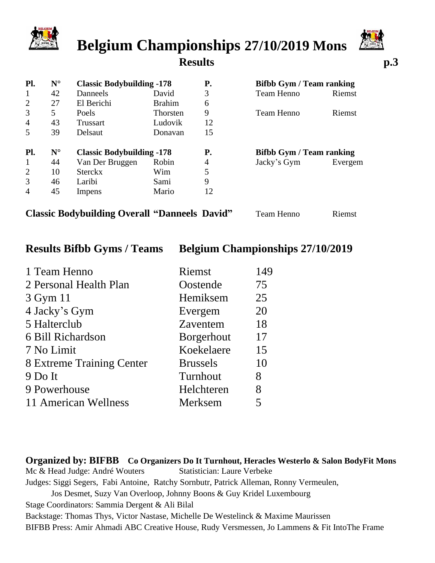

# **Belgium Championships 27/10/2019 Mons**



**Results p.3**

| Pl. | $N^{\circ}$ | <b>Classic Bodybuilding -178</b> |                 | <b>P.</b>      | <b>Bifbb Gym / Team ranking</b> |         |
|-----|-------------|----------------------------------|-----------------|----------------|---------------------------------|---------|
| 1   | 42          | <b>Danneels</b>                  | David           | 3              | Team Henno                      | Riemst  |
| 2   | 27          | El Berichi                       | <b>Brahim</b>   | 6              |                                 |         |
| 3   | 5           | Poels                            | <b>Thorsten</b> | 9              | Team Henno                      | Riemst  |
| 4   | 43          | <b>Trussart</b>                  | Ludovik         | 12             |                                 |         |
| 5   | 39          | Delsaut                          | Donavan         | 15             |                                 |         |
| Pl. | $N^{\circ}$ | <b>Classic Bodybuilding -178</b> |                 | <b>P.</b>      | <b>Bifbb Gym / Team ranking</b> |         |
|     | 44          | Van Der Bruggen                  | Robin           | $\overline{4}$ | Jacky's Gym                     | Evergem |
| 2   | 10          | <b>Sterckx</b>                   | Wim             | 5              |                                 |         |
| 3   | 46          | Laribi                           | Sami            | 9              |                                 |         |
| 4   | 45          | Impens                           | Mario           | 12             |                                 |         |

**Classic Bodybuilding Overall "Danneels David"** Team Henno Riemst

## **Results Bifbb Gyms / Teams Belgium Championships 27/10/2019**

| 1 Team Henno              | Riemst            | 149 |
|---------------------------|-------------------|-----|
| 2 Personal Health Plan    | Oostende          | 75  |
| 3 Gym 11                  | Hemiksem          | 25  |
| 4 Jacky's Gym             | Evergem           | 20  |
| 5 Halterclub              | Zaventem          | 18  |
| 6 Bill Richardson         | <b>Borgerhout</b> | 17  |
| 7 No Limit                | Koekelaere        | 15  |
| 8 Extreme Training Center | <b>Brussels</b>   | 10  |
| 9 Do It                   | Turnhout          | 8   |
| 9 Powerhouse              | Helchteren        | 8   |
| 11 American Wellness      | Merksem           | 5   |
|                           |                   |     |

**Organized by: BIFBB Co Organizers Do It Turnhout, Heracles Westerlo & Salon BodyFit Mons** Mc & Head Judge: André Wouters Statistician: Laure Verbeke Judges: Siggi Segers, Fabi Antoine, Ratchy Sornbutr, Patrick Alleman, Ronny Vermeulen, Jos Desmet, Suzy Van Overloop, Johnny Boons & Guy Kridel Luxembourg Stage Coordinators: Sammia Dergent & Ali Bilal Backstage: Thomas Thys, Victor Nastase, Michelle De Westelinck & Maxime Maurissen BIFBB Press: Amir Ahmadi ABC Creative House, Rudy Versmessen, Jo Lammens & Fit IntoThe Frame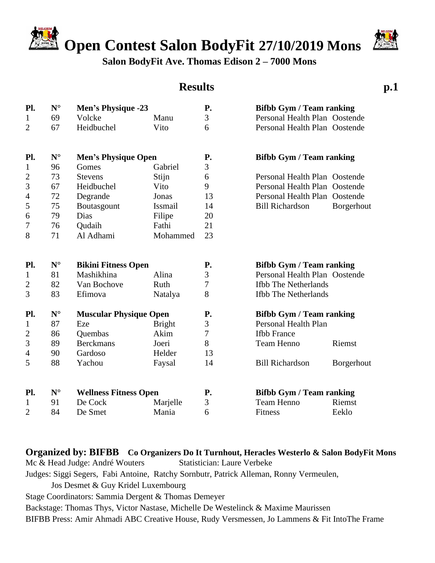# **Open Contest Salon BodyFit 27/10/2019 Mons**



**Salon BodyFit Ave. Thomas Edison 2 – 7000 Mons**

## **Results p.1**

| Pl.            | $N^{\circ}$          | <b>Men's Physique -23</b>           |               | P.               | <b>Bifbb Gym / Team ranking</b> |            |
|----------------|----------------------|-------------------------------------|---------------|------------------|---------------------------------|------------|
| 1              | 69                   | Volcke                              | Manu          | 3                | Personal Health Plan Oostende   |            |
| $\overline{2}$ | 67                   | Heidbuchel                          | Vito          | 6                | Personal Health Plan Oostende   |            |
| Pl.            | $\mathbf{N}^{\circ}$ |                                     |               | P.               |                                 |            |
| 1              | 96                   | <b>Men's Physique Open</b><br>Gomes | Gabriel       | 3                | <b>Bifbb Gym / Team ranking</b> |            |
| $\overline{2}$ | 73                   | <b>Stevens</b>                      | Stijn         | 6                | Personal Health Plan Oostende   |            |
| 3              | 67                   | Heidbuchel                          | Vito          | 9                | Personal Health Plan Oostende   |            |
| 4              | 72                   | Degrande                            | Jonas         | 13               | Personal Health Plan Oostende   |            |
| 5              | 75                   | Boutasgount                         | Issmail       | 14               | <b>Bill Richardson</b>          | Borgerhout |
| 6              | 79                   | Dias                                | Filipe        | 20               |                                 |            |
| 7              | 76                   | Qudaih                              | Fathi         | 21               |                                 |            |
| 8              | 71                   | Al Adhami                           | Mohammed      | 23               |                                 |            |
|                |                      |                                     |               |                  |                                 |            |
| Pl.            | $\mathbf{N}^{\circ}$ | <b>Bikini Fitness Open</b>          |               | <b>P.</b>        | <b>Bifbb Gym / Team ranking</b> |            |
| 1              | 81                   | Mashikhina                          | Alina         | 3                | Personal Health Plan Oostende   |            |
| $\overline{2}$ | 82                   | Van Bochove                         | Ruth          | $\boldsymbol{7}$ | <b>Ifbb</b> The Netherlands     |            |
| 3              | 83                   | Efimova                             | Natalya       | 8                | <b>Ifbb</b> The Netherlands     |            |
| Pl.            | $\mathbf{N}^\circ$   | <b>Muscular Physique Open</b>       |               | <b>P.</b>        | <b>Bifbb Gym / Team ranking</b> |            |
| $\mathbf{1}$   | 87                   | Eze                                 | <b>Bright</b> | 3                | <b>Personal Health Plan</b>     |            |
| $\overline{2}$ | 86                   | Quembas                             | Akim          | 7                | <b>Ifbb</b> France              |            |
| 3              | 89                   | <b>Berckmans</b>                    | Joeri         | 8                | Team Henno                      | Riemst     |
| 4              | 90                   | Gardoso                             | Helder        | 13               |                                 |            |
| 5              | 88                   | Yachou                              | Faysal        | 14               | <b>Bill Richardson</b>          | Borgerhout |
|                |                      |                                     |               |                  |                                 |            |
| Pl.            | $\mathbf{N}^\circ$   | <b>Wellness Fitness Open</b>        |               | <b>P.</b>        | <b>Bifbb Gym / Team ranking</b> |            |
| 1              | 91                   | De Cock                             | Marjelle      | $\mathfrak{Z}$   | <b>Team Henno</b>               | Riemst     |
| $\overline{2}$ | 84                   | De Smet                             | Mania         | 6                | <b>Fitness</b>                  | Eeklo      |

**Organized by: BIFBB Co Organizers Do It Turnhout, Heracles Westerlo & Salon BodyFit Mons** Mc & Head Judge: André Wouters Statistician: Laure Verbeke

Judges: Siggi Segers, Fabi Antoine, Ratchy Sornbutr, Patrick Alleman, Ronny Vermeulen,

Jos Desmet & Guy Kridel Luxembourg

Stage Coordinators: Sammia Dergent & Thomas Demeyer

Backstage: Thomas Thys, Victor Nastase, Michelle De Westelinck & Maxime Maurissen

BIFBB Press: Amir Ahmadi ABC Creative House, Rudy Versmessen, Jo Lammens & Fit IntoThe Frame